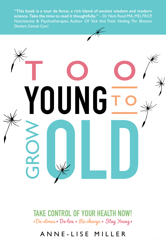**"This book is a tour de force; a rich blend of ancient wisdom and modern science. Take the time to read it thoughtfully."** – Dr Nick Read MA, MD, FRCP, Nutritionist & Psychotherapist, Author Of *'Sick And Tired. Healing The Illnesses Doctors Cannot Cure'.*



**TAKE CONTROL OF YOUR HEALTH NOW!** •De-stress • De-tox • Re-charge • Stay Young•

ANNE-LISE MILLER

i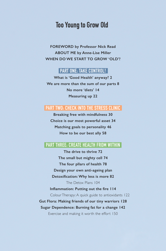## **Too Young to Grow Old**

**FOREWORD by Professor Nick Read ABOUT ME by Anne-Lise Miller WHEN DO WE START TO GROW 'OLD'?**

## **PART ONE: TAKE CONTROL!**

**What is 'Good Health' anyway? 2 We are more than the sum of our parts 8 No more 'diets' 14 Measuring up 22**

## **PART TWO: CHECK INTO THE STRESS CLINIC**

**Breaking free with mindfulness 30 Choice is our most powerful asset 34 Matching goals to personality 46 How to be our best ally 58**

## **PART THREE: CREATE HEALTH FROM WITHIN**

**The drive to thrive 72 The small but mighty cell 74 The four pllars of health 78 Design your own anti-ageing plan Detoxification: Why less is more 82** The Detox Plans 104 **Inflammation: Putting out the fire 114** Colour Therapy: A quick guide to antioxidants 122 **Gut Flora: Making friends of our tiny warriors 128 Sugar Dependence: Burning fat for a change 142** Exercise and making it worth the effort 150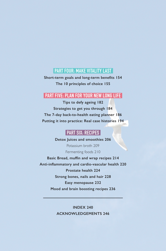## **PART FOUR: MAKE VITALITY LAST**

**Short-term goals and long-term benefits 154 The 10 principles of choice 155**

## **PART FIVE: PLAN FOR YOUR NEW LONG LIFE**

**Tips to defy ageing 182 Strategies to get you through 184 The 7-day back-to-health eating planner 186 Putting it into practice: Real case histories 194**

## **PART SIX: RECIPES**

**Detox Juices and smoothies 206** Potassium broth 209 Fermenting foods 210

**Basic Bread, muffin and wrap recipes 214 Anti-inflammatory and cardio-vascular health 220 Prostate health 224 Strong bones, nails and hair 228 Easy menopause 232 Mood and brain boosting recipes 236**

> **INDEX 240 ACKNOWLEDGEMENTS 246**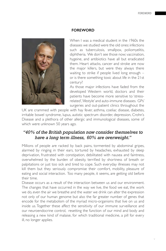

#### **FOREWORD**

When I was a medical student in the 1960s the diseases we studied were the old ones: infections such as tuberculosis, smallpox, poliomyelitis, diphtheria. We don't see those now; vaccination, hygeine, and antibiotics have all but eradicated them. Heart attacks, cancer and stroke are now the major killers, but were they always there waiting to strike if people lived long enough – or is there something toxic about life in the 21st century?

As those major infections have faded from the developed Western world, doctors and their patients have become more sensitive to 'stressrelated', 'lifestyle' and auto-immune diseases. GPs' surgeries and out-patient clinics throughout the

UK are crammed with people with hay fever, asthma, coeliac disease, diabetes, irritable bowel syndrome, lupus, autistic spectrum disorder, depression, Crohn's Disease and a plethora of other allergic and immunological diseases, some of which were unknown 50 years ago.

### *"40% of the British population now consider themselves to have a long term illness, 60% are overweight."*

Millions of people are racked by back pains, tormented by abdominal gripes, alarmed by ringing in their ears, tortured by headaches, exhausted by sleep deprivation, frustrated with constipation, debilitated with nausea and faintness, overwhelmed by the burden of obesity, terrified by shortness of breath or palpitations or just too sick and tired to cope. Such everyday illnesses may not kill them but they seriously compromise their comfort, mobility, pleasure of eating and social interaction. Too many people, it seems, are getting old before their time.

Disease occurs as a result of the interaction between us and our environment. The changes that have occurred in the way we live, the food we eat, the work we do, even the air we breathe and the water we drink can alter the expression not only of our human genome but also the far greater number of genes that encode for the metabolism of the myriad micro-organisms that live on us and inside us. Together these affect the sensitivity of our immune surveillance and our neuroendocrine control, resetting the function of our mind and body and releasing a new kind of malaise, for which traditional medicine, a pill for every ill, no longer applies.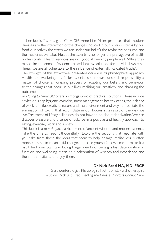In her book, *Too Young to Grow Old*, Anne-Lise Miller proposes that modern illnesses are the interaction of the changes induced in our bodily systems by our food, our activity, the stress we are under, our beliefs, the toxins we consume and the medicines we take. Health, she asserts, is no longer the prerogative of health professionals. 'Health' services are not good at keeping people well. While they may claim to promote 'evidence-based' healthy solutions for individual systemic illness, 'we are all vulnerable to the influence of externally validated truths'.

The strength of this attractively presented oeuvre is its philosophical approach. Health and wellbeing, Ms Miller asserts, is our own personal responsibility, a matter of choice, an ongoing process of adapting our beliefs and behaviour to the changes that occur in our lives, realising our creativity and changing the outcome.

*Too Young to Grow Old* offers a smorgasbord of practical solutions. These include advice on sleep hygiene, exercise, stress management, healthy eating, the balance of work and life, creativity, nature and the environment and ways to facilitate the elimination of toxins that accumulate in our bodies as a result of the way we live. Treatment of lifestyle illnesses do not have to be about deprivation. We can discover pleasure and a sense of balance in a positive and healthy approach to eating, exercise, work and society.

This book is a *tour de force;* a rich blend of ancient wisdom and modern science. Take the time to read it thoughtfully. Explore the sections that resonate with you, take from those the ideas that seem to help, engage, realise less is often more, commit to meaningful change, but pace yourself, allow time to make it a habit, find your own way. Living longer need not be a gradual deterioration in function and wellbeing, it can be a celebration of wisdom and experience and the youthful vitality to enjoy them.

#### **Dr Nick Read MA, MD, FRCP**

Gastroenterologist, Physiologist, Nutritionist, Psychotherapist. Author: *Sick and Tired. Healing the Illnesses Doctors Cannot Cure.*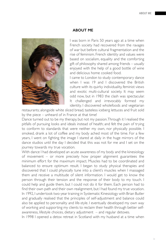

#### **ABOUT ME**

I was born in Paris 50 years ago at a time when French society had recovered from the ravages of war but before cultural fragmentation and the rise of feminism. French identity and values were based on socialism, equality and the comforting gift of philosophy shared among friends – usually enjoyed with the help of a good bottle of wine and delicious home cooked food.

I came to London to study contemporary dance when I was 19 and I discovered the British culture with its quirky individuality, feminist views and exotic multi-cultural society. It may seem odd now, but in 1983 the clash was spectacular. It challenged and irrevocably formed my identity. I discovered wholefoods and vegetarian

restaurants; alongside white sliced bread, tasteless iceberg lettuces and fruit sold by the piece – unheard of in France at that time!

Dance turned out to be my therapy, but not my passion. Through it I realised the pitfalls of pursuing looks and ideals instead of health; and felt the pain of trying to conform to standards that were neither my own, nor physically possible. I smoked, drank a lot of coffee and my body ached most of the time. For a few years, I went on fighting the image I stared at daily in the huge mirrors of the dance studios until the day I decided that this was not for me and I set on the journey towards my true vocation.

With dance I had developed an acute awareness of my body and the kinesiology of movement – or more precisely how proper alignment guarantees the minimum effort for the maximum impact. Muscles had to be coordinated and balanced to ensure optimum result. I began to study physical therapies and discovered that I could physically tune into a client's muscles when I massaged them and receive a multitude of silent information. I would get to know the person through their tension and the response of their body to my touch. I could help and guide them, but I could not do it for them. Each person had to find their own path and their own realignment, but I had found my true vocation. In 1992, I undertook two-year training in Systematic Kinesiology with Brian Butler and gradually realised that the principles of self-adjustment and balance could also be applied to personality and life-style. I eventually developed my own way of working and supporting my clients to reclaim their health through better selfawareness, lifestyle choices, dietary adjustment – and regular detoxes.

In 1998 I opened a detox retreat in Scotland with my husband at a time when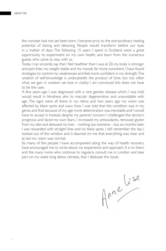the concept had not yet been born. I became privy to the extraordinary healing potential of fasting and detoxing. People would transform before our eyes in a matter of days. The following 15 years I spent in Scotland were a great opportunity to experiment on my own health, and learn from the numerous guests who came to stay with us.

Today I can sincerely say that I feel healthier than I was at 20, my body is stronger and pain-free, my weight stable and my moods far more consistent. I have found strategies to control my weaknesses and feel more confident in my strength. The wisdom of self-knowledge is undoubtedly the product of time, but too often what we gain in wisdom we lose in vitality. I am convinced this does not have to be the case.

A few years ago I was diagnosed with a rare genetic disease which, I was told, would result in blindness akin to macular degeneration and unavoidable with age. The signs were all there in my retina and two years ago my vision was affected by black spots and wavy lines. I was told that the condition was in my genes and that because of my age more deterioration was inevitable and I would have to accept it. Instead, despite my parents' concern I challenged the doctors' prognosis and faced my own fears. I increased my antioxidants, removed gluten from my diet and detoxed my liver – nothing too extreme – but six months later I was rewarded with straight lines and no black spots. I still remember the day I looked out of the window and it dawned on me that everything was clear and at last my vision was normal.

So many of the people I have accompanied along the way of health recovery have encouraged me to write about my experience and approach. It is to them, and the many more who continue to regularly consult me in London and take part on my week long detox retreats, that I dedicate this book.

Anne Lise